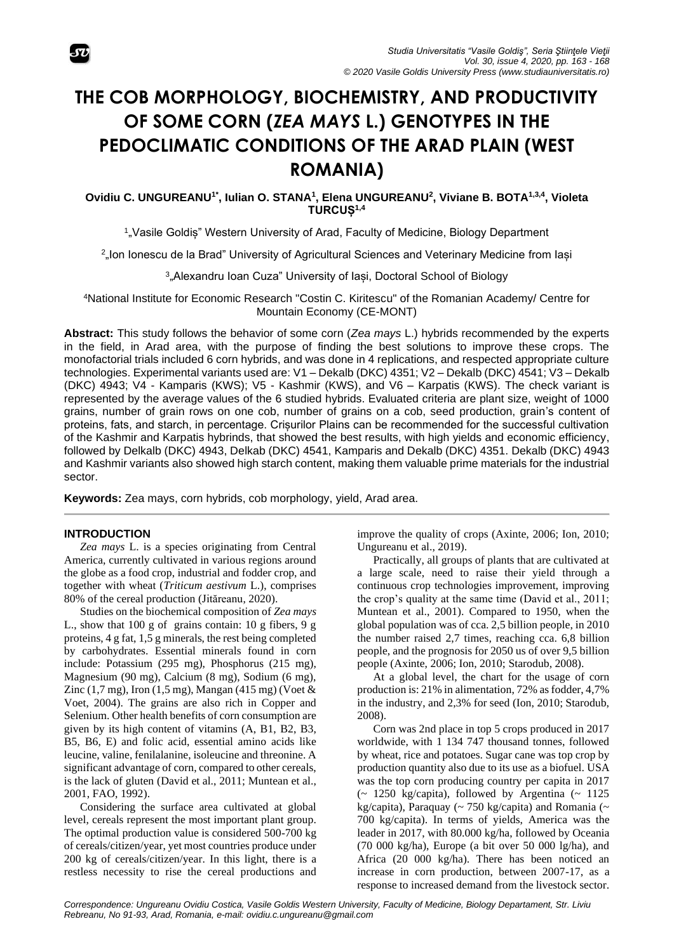# **THE COB MORPHOLOGY, BIOCHEMISTRY, AND PRODUCTIVITY OF SOME CORN (***ZEA MAYS* **L.) GENOTYPES IN THE PEDOCLIMATIC CONDITIONS OF THE ARAD PLAIN (WEST ROMANIA)**

**Ovidiu C. UNGUREANU1\* , Iulian O. STANA<sup>1</sup> , Elena UNGUREANU<sup>2</sup> , Viviane B. BOTA1,3,4 , Violeta TURCUȘ1,4**

1 "Vasile Goldiș" Western University of Arad, Faculty of Medicine, Biology Department

2 "Ion Ionescu de la Brad" University of Agricultural Sciences and Veterinary Medicine from Iași

3 "Alexandru Ioan Cuza" University of Iași, Doctoral School of Biology

<sup>4</sup>National Institute for Economic Research "Costin C. Kiritescu" of the Romanian Academy/ Centre for Mountain Economy (CE-MONT)

**Abstract:** This study follows the behavior of some corn (*Zea mays* L.) hybrids recommended by the experts in the field, in Arad area, with the purpose of finding the best solutions to improve these crops. The monofactorial trials included 6 corn hybrids, and was done in 4 replications, and respected appropriate culture technologies. Experimental variants used are: V1 – Dekalb (DKC) 4351; V2 – Dekalb (DKC) 4541; V3 – Dekalb (DKC) 4943; V4 - Kamparis (KWS); V5 - Kashmir (KWS), and V6 – Karpatis (KWS). The check variant is represented by the average values of the 6 studied hybrids. Evaluated criteria are plant size, weight of 1000 grains, number of grain rows on one cob, number of grains on a cob, seed production, grain's content of proteins, fats, and starch, in percentage. Crișurilor Plains can be recommended for the successful cultivation of the Kashmir and Karpatis hybrinds, that showed the best results, with high yields and economic efficiency, followed by Delkalb (DKC) 4943, Delkab (DKC) 4541, Kamparis and Dekalb (DKC) 4351. Dekalb (DKC) 4943 and Kashmir variants also showed high starch content, making them valuable prime materials for the industrial sector.

**Keywords:** Zea mays, corn hybrids, cob morphology, yield, Arad area.

## **INTRODUCTION**

*Zea mays* L. is a species originating from Central America, currently cultivated in various regions around the globe as a food crop, industrial and fodder crop, and together with wheat (*Triticum aestivum* L.), comprises 80% of the cereal production (Jităreanu, 2020).

Studies on the biochemical composition of *Zea mays* L., show that 100 g of grains contain: 10 g fibers, 9 g proteins, 4 g fat, 1,5 g minerals, the rest being completed by carbohydrates. Essential minerals found in corn include: Potassium (295 mg), Phosphorus (215 mg), Magnesium (90 mg), Calcium (8 mg), Sodium (6 mg), Zinc  $(1,7 \text{ mg})$ , Iron  $(1,5 \text{ mg})$ , Mangan  $(415 \text{ mg})$  (Voet  $\&$ Voet, 2004). The grains are also rich in Copper and Selenium. Other health benefits of corn consumption are given by its high content of vitamins (A, B1, B2, B3, B5, B6, E) and folic acid, essential amino acids like leucine, valine, fenilalanine, isoleucine and threonine. A significant advantage of corn, compared to other cereals, is the lack of gluten (David et al., 2011; Muntean et al., 2001, FAO, 1992).

Considering the surface area cultivated at global level, cereals represent the most important plant group. The optimal production value is considered 500-700 kg of cereals/citizen/year, yet most countries produce under 200 kg of cereals/citizen/year. In this light, there is a restless necessity to rise the cereal productions and

improve the quality of crops (Axinte, 2006; Ion, 2010; Ungureanu et al., 2019).

Practically, all groups of plants that are cultivated at a large scale, need to raise their yield through a continuous crop technologies improvement, improving the crop's quality at the same time (David et al., 2011; Muntean et al., 2001). Compared to 1950, when the global population was of cca. 2,5 billion people, in 2010 the number raised 2,7 times, reaching cca. 6,8 billion people, and the prognosis for 2050 us of over 9,5 billion people (Axinte, 2006; Ion, 2010; Starodub, 2008).

At a global level, the chart for the usage of corn production is: 21% in alimentation, 72% as fodder, 4,7% in the industry, and 2,3% for seed (Ion, 2010; Starodub, 2008).

Corn was 2nd place in top 5 crops produced in 2017 worldwide, with 1 134 747 thousand tonnes, followed by wheat, rice and potatoes. Sugar cane was top crop by production quantity also due to its use as a biofuel. USA was the top corn producing country per capita in 2017  $\sim$  1250 kg/capita), followed by Argentina  $\sim$  1125 kg/capita), Paraquay (~ 750 kg/capita) and Romania (~ 700 kg/capita). In terms of yields, America was the leader in 2017, with 80.000 kg/ha, followed by Oceania (70 000 kg/ha), Europe (a bit over 50 000 lg/ha), and Africa (20 000 kg/ha). There has been noticed an increase in corn production, between 2007-17, as a response to increased demand from the livestock sector.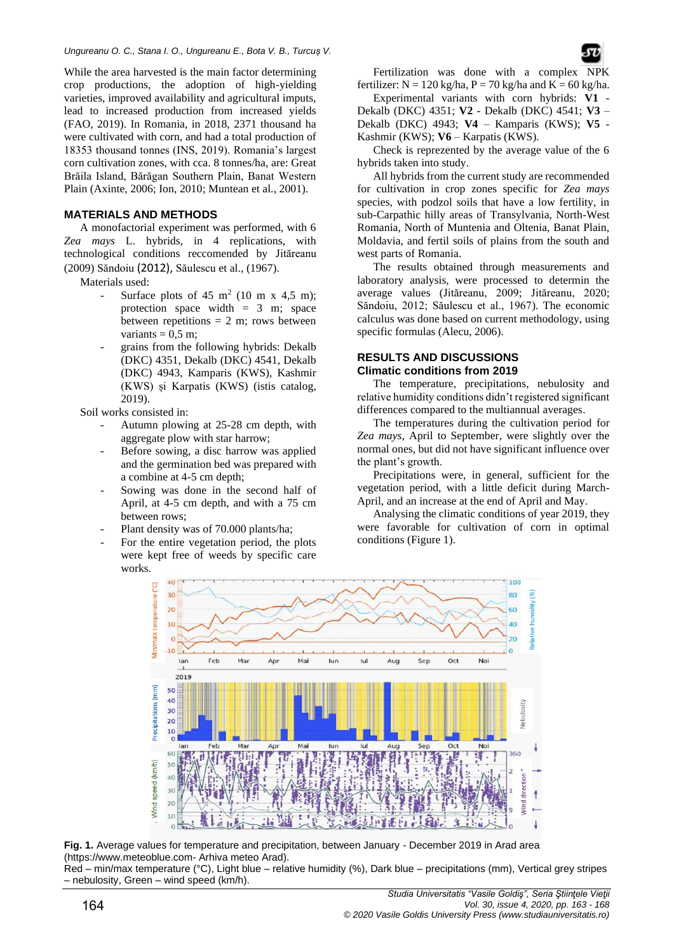While the area harvested is the main factor determining crop productions, the adoption of high-yielding varieties, improved availability and agricultural imputs, lead to increased production from increased yields (FAO, 2019). In Romania, in 2018, 2371 thousand ha were cultivated with corn, and had a total production of 18353 thousand tonnes (INS, 2019). Romania's largest corn cultivation zones, with cca. 8 tonnes/ha, are: Great Brăila Island, Bărăgan Southern Plain, Banat Western Plain (Axinte, 2006; Ion, 2010; Muntean et al., 2001).

## **MATERIALS AND METHODS**

A monofactorial experiment was performed, with 6 *Zea mays* L. hybrids, in 4 replications, with technological conditions reccomended by Jităreanu (2009) Săndoiu (2012), Săulescu et al., (1967).

Materials used:

- Surface plots of  $45 \text{ m}^2$  (10 m x 4,5 m); protection space width  $= 3$  m; space between repetitions  $= 2$  m; rows between variants  $= 0.5$  m;
- grains from the following hybrids: Dekalb (DKC) 4351, Dekalb (DKC) 4541, Dekalb (DKC) 4943, Kamparis (KWS), Kashmir (KWS) și Karpatis (KWS) (istis catalog, 2019).

Soil works consisted in:

- Autumn plowing at 25-28 cm depth, with aggregate plow with star harrow;
- Before sowing, a disc harrow was applied and the germination bed was prepared with a combine at 4-5 cm depth;
- Sowing was done in the second half of April, at 4-5 cm depth, and with a 75 cm between rows;
- Plant density was of 70.000 plants/ha;
- For the entire vegetation period, the plots were kept free of weeds by specific care works.

Fertilization was done with a complex NPK fertilizer:  $N = 120$  kg/ha,  $P = 70$  kg/ha and  $K = 60$  kg/ha.

Experimental variants with corn hybrids: **V1** - Dekalb (DKC) 4351; **V2** - Dekalb (DKC) 4541; **V3** – Dekalb (DKC) 4943; **V4** – Kamparis (KWS); **V5** - Kashmir (KWS); **V6** – Karpatis (KWS).

Check is reprezented by the average value of the 6 hybrids taken into study.

All hybrids from the current study are recommended for cultivation in crop zones specific for *Zea mays* species, with podzol soils that have a low fertility, in sub-Carpathic hilly areas of Transylvania, North-West Romania, North of Muntenia and Oltenia, Banat Plain, Moldavia, and fertil soils of plains from the south and west parts of Romania.

The results obtained through measurements and laboratory analysis, were processed to determin the average values (Jităreanu, 2009; Jităreanu, 2020; Săndoiu, 2012; Săulescu et al., 1967). The economic calculus was done based on current methodology, using specific formulas (Alecu, 2006).

## **RESULTS AND DISCUSSIONS Climatic conditions from 2019**

The temperature, precipitations, nebulosity and relative humidity conditions didn't registered significant differences compared to the multiannual averages.

The temperatures during the cultivation period for *Zea mays*, April to September, were slightly over the normal ones, but did not have significant influence over the plant's growth.

Precipitations were, in general, sufficient for the vegetation period, with a little deficit during March-April, and an increase at the end of April and May.

Analysing the climatic conditions of year 2019, they were favorable for cultivation of corn in optimal conditions (Figure 1).



**Fig. 1.** Average values for temperature and precipitation, between January - December 2019 in Arad area (https://www.meteoblue.com- Arhiva meteo Arad).

Red – min/max temperature (°C), Light blue – relative humidity (%), Dark blue – precipitations (mm), Vertical grey stripes – nebulosity, Green – wind speed (km/h).

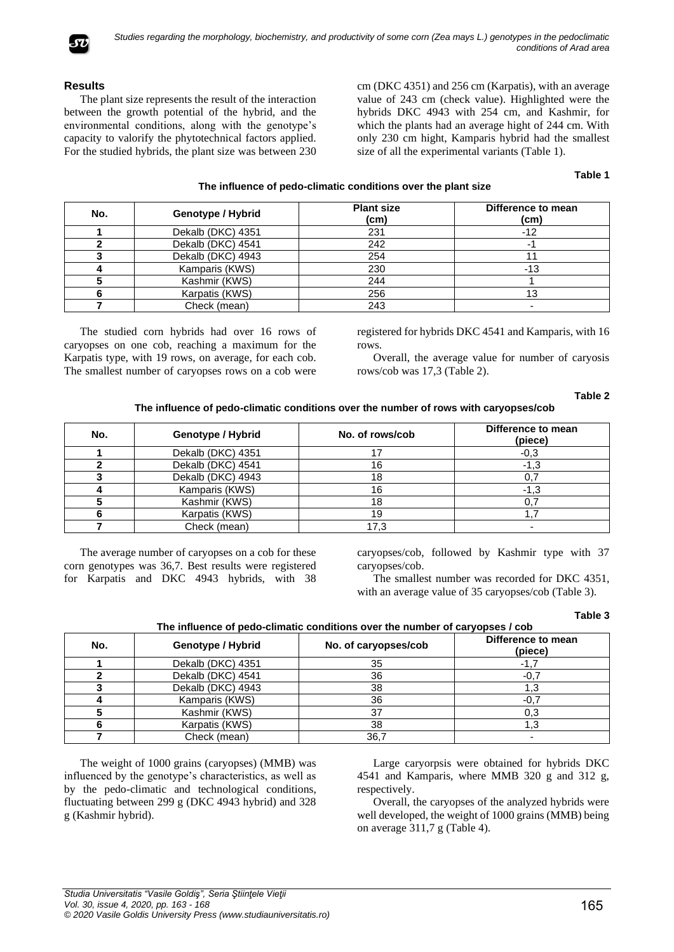

# **Results**

The plant size represents the result of the interaction between the growth potential of the hybrid, and the environmental conditions, along with the genotype's capacity to valorify the phytotechnical factors applied. For the studied hybrids, the plant size was between 230 cm (DKC 4351) and 256 cm (Karpatis), with an average value of 243 cm (check value). Highlighted were the hybrids DKC 4943 with 254 cm, and Kashmir, for which the plants had an average hight of 244 cm. With only 230 cm hight, Kamparis hybrid had the smallest size of all the experimental variants (Table 1).

# **Table 1**

# **The influence of pedo-climatic conditions over the plant size**

| No. | Genotype / Hybrid | <b>Plant size</b><br>(cm) | Difference to mean<br>(c <sub>m</sub> ) |
|-----|-------------------|---------------------------|-----------------------------------------|
|     | Dekalb (DKC) 4351 | 231                       | $-12$                                   |
|     | Dekalb (DKC) 4541 | 242                       |                                         |
|     | Dekalb (DKC) 4943 | 254                       |                                         |
|     | Kamparis (KWS)    | 230                       | -13                                     |
|     | Kashmir (KWS)     | 244                       |                                         |
|     | Karpatis (KWS)    | 256                       | 13                                      |
|     | Check (mean)      | 243                       |                                         |

The studied corn hybrids had over 16 rows of caryopses on one cob, reaching a maximum for the Karpatis type, with 19 rows, on average, for each cob. The smallest number of caryopses rows on a cob were registered for hybrids DKC 4541 and Kamparis, with 16 rows.

Overall, the average value for number of caryosis rows/cob was 17,3 (Table 2).

#### **Table 2**

## **The influence of pedo-climatic conditions over the number of rows with caryopses/cob**

| No. | Genotype / Hybrid | No. of rows/cob | Difference to mean<br>(piece) |
|-----|-------------------|-----------------|-------------------------------|
|     | Dekalb (DKC) 4351 |                 | $-0.3$                        |
|     | Dekalb (DKC) 4541 | 16              | -1.3                          |
|     | Dekalb (DKC) 4943 | 18              | 0,7                           |
|     | Kamparis (KWS)    | 16              | $-1.3$                        |
|     | Kashmir (KWS)     | 18              |                               |
|     | Karpatis (KWS)    |                 |                               |
|     | Check (mean)      |                 |                               |

The average number of caryopses on a cob for these corn genotypes was 36,7. Best results were registered for Karpatis and DKC 4943 hybrids, with 38 caryopses/cob, followed by Kashmir type with 37 caryopses/cob.

The smallest number was recorded for DKC 4351, with an average value of 35 caryopses/cob (Table 3).

## **Table 3**

| No. | Genotype / Hybrid | No. of caryopses/cob | Difference to mean<br>(piece) |
|-----|-------------------|----------------------|-------------------------------|
|     | Dekalb (DKC) 4351 | 35                   | $-1,7$                        |
|     | Dekalb (DKC) 4541 | 36                   | $-0,7$                        |
|     | Dekalb (DKC) 4943 | 38                   | 1.3                           |
|     | Kamparis (KWS)    | 36                   | $-0,7$                        |
|     | Kashmir (KWS)     |                      | 0,3                           |
|     | Karpatis (KWS)    | 38                   | 1.3                           |
|     | Check (mean)      | 36,7                 |                               |

The weight of 1000 grains (caryopses) (MMB) was influenced by the genotype's characteristics, as well as by the pedo-climatic and technological conditions, fluctuating between 299 g (DKC 4943 hybrid) and 328 g (Kashmir hybrid).

Large caryorpsis were obtained for hybrids DKC 4541 and Kamparis, where MMB 320 g and 312 g, respectively.

Overall, the caryopses of the analyzed hybrids were well developed, the weight of 1000 grains (MMB) being on average 311,7 g (Table 4).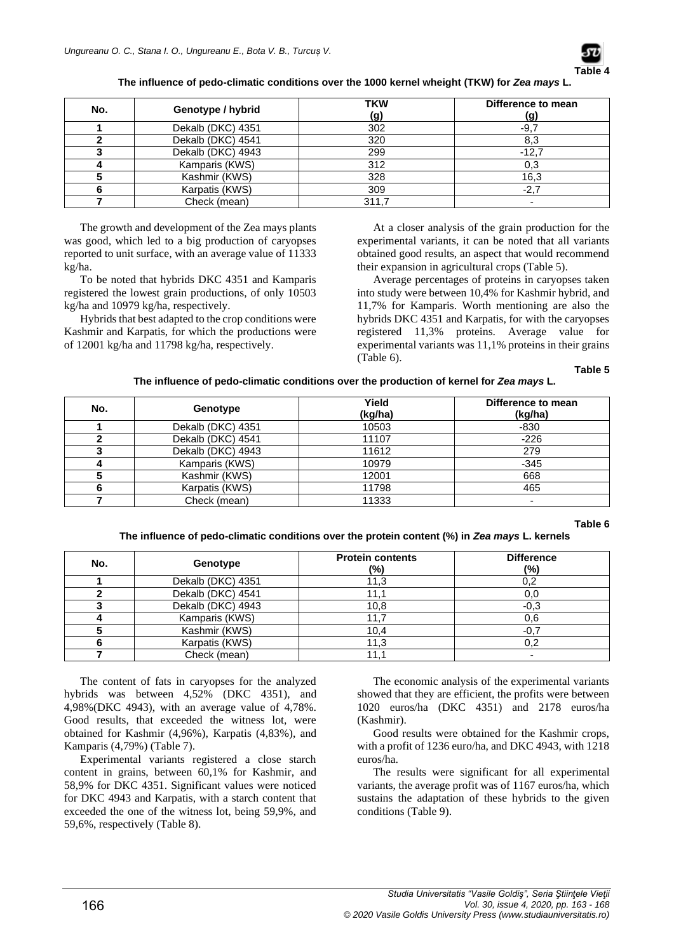

**The influence of pedo-climatic conditions over the 1000 kernel wheight (TKW) for** *Zea mays* **L.**

| No. | Genotype / hybrid | <b>TKW</b><br>(g) | Difference to mean<br>(g) |
|-----|-------------------|-------------------|---------------------------|
|     | Dekalb (DKC) 4351 | 302               | $-9,7$                    |
|     | Dekalb (DKC) 4541 | 320               | 8,3                       |
|     | Dekalb (DKC) 4943 | 299               | $-12.7$                   |
|     | Kamparis (KWS)    | 312               | 0,3                       |
|     | Kashmir (KWS)     | 328               | 16,3                      |
|     | Karpatis (KWS)    | 309               | $-2,7$                    |
|     | Check (mean)      | 311,7             |                           |

The growth and development of the Zea mays plants was good, which led to a big production of caryopses reported to unit surface, with an average value of 11333 kg/ha.

To be noted that hybrids DKC 4351 and Kamparis registered the lowest grain productions, of only 10503 kg/ha and 10979 kg/ha, respectively.

Hybrids that best adapted to the crop conditions were Kashmir and Karpatis, for which the productions were of 12001 kg/ha and 11798 kg/ha, respectively.

At a closer analysis of the grain production for the experimental variants, it can be noted that all variants obtained good results, an aspect that would recommend their expansion in agricultural crops (Table 5).

Average percentages of proteins in caryopses taken into study were between 10,4% for Kashmir hybrid, and 11,7% for Kamparis. Worth mentioning are also the hybrids DKC 4351 and Karpatis, for with the caryopses registered 11,3% proteins. Average value for experimental variants was 11,1% proteins in their grains (Table 6).

**Table 5**

| The influence of pedo-climatic conditions over the production of kernel for Zea mays L. |  |
|-----------------------------------------------------------------------------------------|--|
|-----------------------------------------------------------------------------------------|--|

| No. | Genotype          | Yield<br>(kg/ha) | Difference to mean<br>(kg/ha) |
|-----|-------------------|------------------|-------------------------------|
|     | Dekalb (DKC) 4351 | 10503            | -830                          |
|     | Dekalb (DKC) 4541 | 11107            | $-226$                        |
|     | Dekalb (DKC) 4943 | 11612            | 279                           |
|     | Kamparis (KWS)    | 10979            | $-345$                        |
|     | Kashmir (KWS)     | 12001            | 668                           |
|     | Karpatis (KWS)    | 11798            | 465                           |
|     | Check (mean)      | 11333            |                               |

**Table 6**

#### **The influence of pedo-climatic conditions over the protein content (%) in** *Zea mays* **L. kernels**

| No. | Genotype          | <b>Protein contents</b><br>(%) | <b>Difference</b><br>(%) |
|-----|-------------------|--------------------------------|--------------------------|
|     | Dekalb (DKC) 4351 | 11.3                           | 0,2                      |
|     | Dekalb (DKC) 4541 | 11.1                           | 0,0                      |
|     | Dekalb (DKC) 4943 | 10,8                           | $-0,3$                   |
|     | Kamparis (KWS)    | 11,7                           | 0,6                      |
|     | Kashmir (KWS)     | 10,4                           | $-0,7$                   |
|     | Karpatis (KWS)    | 11,3                           | 0.2                      |
|     | Check (mean)      | 11.1                           |                          |

The content of fats in caryopses for the analyzed hybrids was between 4,52% (DKC 4351), and 4,98%(DKC 4943), with an average value of 4,78%. Good results, that exceeded the witness lot, were obtained for Kashmir (4,96%), Karpatis (4,83%), and Kamparis (4,79%) (Table 7).

Experimental variants registered a close starch content in grains, between 60,1% for Kashmir, and 58,9% for DKC 4351. Significant values were noticed for DKC 4943 and Karpatis, with a starch content that exceeded the one of the witness lot, being 59,9%, and 59,6%, respectively (Table 8).

The economic analysis of the experimental variants showed that they are efficient, the profits were between 1020 euros/ha (DKC 4351) and 2178 euros/ha (Kashmir).

Good results were obtained for the Kashmir crops, with a profit of 1236 euro/ha, and DKC 4943, with 1218 euros/ha.

The results were significant for all experimental variants, the average profit was of 1167 euros/ha, which sustains the adaptation of these hybrids to the given conditions (Table 9).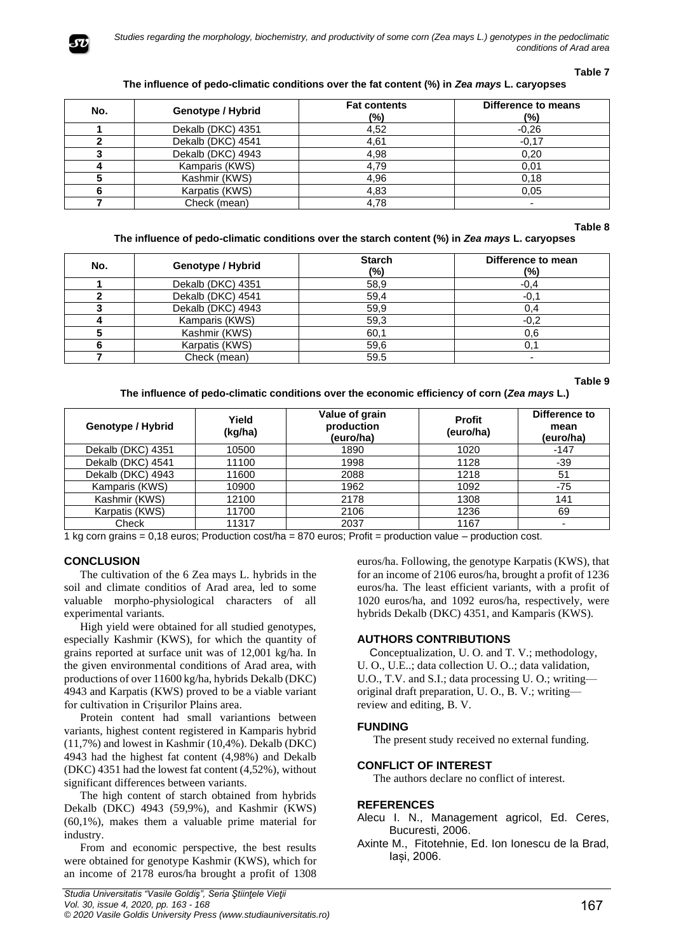

## **Table 7**

# **The influence of pedo-climatic conditions over the fat content (%) in** *Zea mays* **L. caryopses**

| No. | Genotype / Hybrid | <b>Fat contents</b><br>(%) | Difference to means<br>$(\% )$ |
|-----|-------------------|----------------------------|--------------------------------|
|     | Dekalb (DKC) 4351 | 4,52                       | $-0.26$                        |
|     | Dekalb (DKC) 4541 | 4,61                       | $-0,17$                        |
|     | Dekalb (DKC) 4943 | 4,98                       | 0,20                           |
|     | Kamparis (KWS)    | 4.79                       | 0,01                           |
|     | Kashmir (KWS)     | 4.96                       | 0,18                           |
|     | Karpatis (KWS)    | 4,83                       | 0.05                           |
|     | Check (mean)      | 4.78                       | $\overline{\phantom{0}}$       |

## **Table 8**

## **The influence of pedo-climatic conditions over the starch content (%) in** *Zea mays* **L. caryopses**

| No. | Genotype / Hybrid | <b>Starch</b><br>(%) | Difference to mean<br>(%) |
|-----|-------------------|----------------------|---------------------------|
|     | Dekalb (DKC) 4351 | 58,9                 | $-0,4$                    |
|     | Dekalb (DKC) 4541 | 59,4                 | $-0,1$                    |
|     | Dekalb (DKC) 4943 | 59,9                 | 0.4                       |
|     | Kamparis (KWS)    | 59,3                 | $-0,2$                    |
|     | Kashmir (KWS)     | 60,1                 | 0,6                       |
|     | Karpatis (KWS)    | 59,6                 | 0.1                       |
|     | Check (mean)      | 59.5                 |                           |

**Table 9**

**The influence of pedo-climatic conditions over the economic efficiency of corn (***Zea mays* **L.)**

| Genotype / Hybrid | Yield<br>(kg/ha) | Value of grain<br>production<br>(euro/ha) | <b>Profit</b><br>(euro/ha) | Difference to<br>mean<br>(euro/ha) |
|-------------------|------------------|-------------------------------------------|----------------------------|------------------------------------|
| Dekalb (DKC) 4351 | 10500            | 1890                                      | 1020                       | $-147$                             |
| Dekalb (DKC) 4541 | 11100            | 1998                                      | 1128                       | -39                                |
| Dekalb (DKC) 4943 | 11600            | 2088                                      | 1218                       | 51                                 |
| Kamparis (KWS)    | 10900            | 1962                                      | 1092                       | -75                                |
| Kashmir (KWS)     | 12100            | 2178                                      | 1308                       | 141                                |
| Karpatis (KWS)    | 11700            | 2106                                      | 1236                       | 69                                 |
| Check             | 11317            | 2037                                      | 1167                       |                                    |

1 kg corn grains = 0,18 euros; Production cost/ha = 870 euros; Profit = production value – production cost.

# **CONCLUSION**

The cultivation of the 6 Zea mays L. hybrids in the soil and climate conditios of Arad area, led to some valuable morpho-physiological characters of all experimental variants.

High yield were obtained for all studied genotypes, especially Kashmir (KWS), for which the quantity of grains reported at surface unit was of 12,001 kg/ha. In the given environmental conditions of Arad area, with productions of over 11600 kg/ha, hybrids Dekalb (DKC) 4943 and Karpatis (KWS) proved to be a viable variant for cultivation in Crișurilor Plains area.

Protein content had small variantions between variants, highest content registered in Kamparis hybrid (11,7%) and lowest in Kashmir (10,4%). Dekalb (DKC) 4943 had the highest fat content (4,98%) and Dekalb (DKC) 4351 had the lowest fat content (4,52%), without significant differences between variants.

The high content of starch obtained from hybrids Dekalb (DKC) 4943 (59,9%), and Kashmir (KWS) (60,1%), makes them a valuable prime material for industry.

From and economic perspective, the best results were obtained for genotype Kashmir (KWS), which for an income of 2178 euros/ha brought a profit of 1308 euros/ha. Following, the genotype Karpatis (KWS), that for an income of 2106 euros/ha, brought a profit of 1236 euros/ha. The least efficient variants, with a profit of 1020 euros/ha, and 1092 euros/ha, respectively, were hybrids Dekalb (DKC) 4351, and Kamparis (KWS).

# **AUTHORS CONTRIBUTIONS**

 Conceptualization, U. O. and T. V.; methodology, U. O., U.E..; data collection U. O..; data validation, U.O., T.V. and S.I.; data processing U. O.; writing original draft preparation, U. O., B. V.; writing review and editing, B. V.

# **FUNDING**

The present study received no external funding.

## **CONFLICT OF INTEREST**

The authors declare no conflict of interest.

## **REFERENCES**

Alecu I. N., Management agricol, Ed. Ceres, Bucuresti, 2006.

Axinte M., Fitotehnie, Ed. Ion Ionescu de la Brad, Iași, 2006.